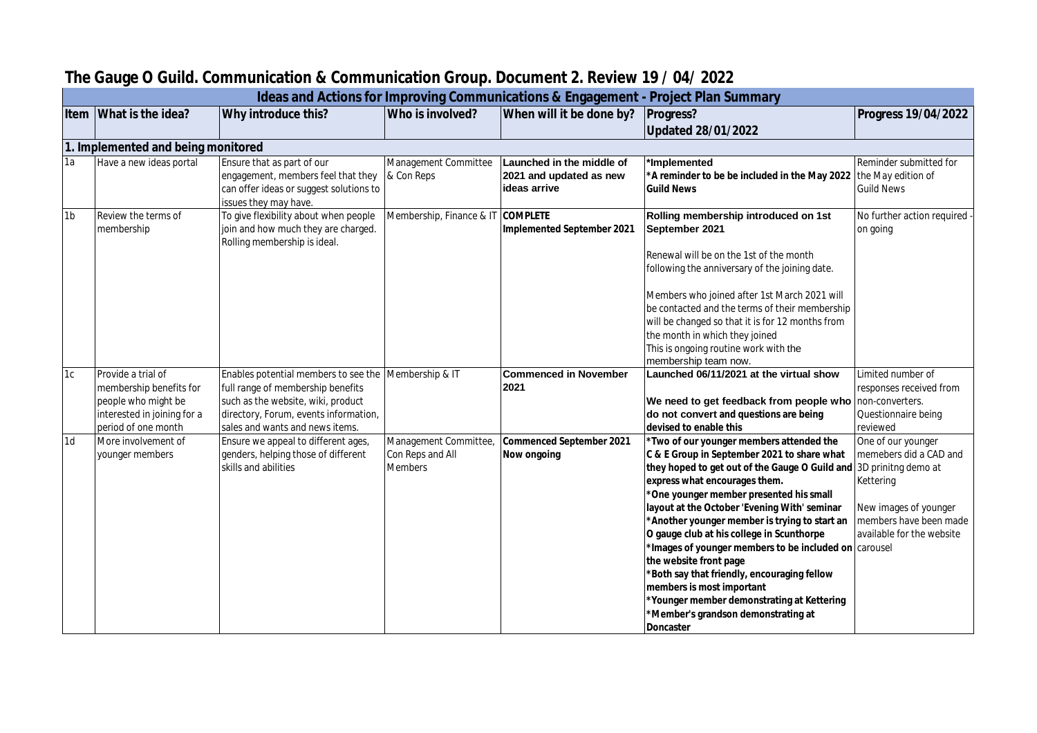|                | Ideas and Actions for Improving Communications & Engagement - Project Plan Summary |                                                                              |                                   |                              |                                                                                    |                                          |  |  |
|----------------|------------------------------------------------------------------------------------|------------------------------------------------------------------------------|-----------------------------------|------------------------------|------------------------------------------------------------------------------------|------------------------------------------|--|--|
|                | Item What is the idea?                                                             | Why introduce this?                                                          | Who is involved?                  | When will it be done by?     | Progress?                                                                          | Progress 19/04/2022                      |  |  |
|                |                                                                                    |                                                                              |                                   |                              | <b>Updated 28/01/2022</b>                                                          |                                          |  |  |
|                | 1. Implemented and being monitored                                                 |                                                                              |                                   |                              |                                                                                    |                                          |  |  |
| 1a             | Have a new ideas portal                                                            | Ensure that as part of our                                                   | Management Committee              | Launched in the middle of    | *Implemented                                                                       | Reminder submitted for                   |  |  |
|                |                                                                                    | engagement, members feel that they                                           | & Con Reps                        | 2021 and updated as new      | *A reminder to be be included in the May 2022 the May edition of                   |                                          |  |  |
|                |                                                                                    | can offer ideas or suggest solutions to                                      |                                   | ideas arrive                 | <b>Guild News</b>                                                                  | <b>Guild News</b>                        |  |  |
|                |                                                                                    | issues they may have.                                                        |                                   |                              |                                                                                    |                                          |  |  |
| 1 <sub>b</sub> | <b>Review the terms of</b><br>membership                                           | To give flexibility about when people<br>join and how much they are charged. | Membership, Finance & IT COMPLETE | Implemented September 2021   | Rolling membership introduced on 1st<br>September 2021                             | No further action required -<br>on going |  |  |
|                |                                                                                    | Rolling membership is ideal.                                                 |                                   |                              |                                                                                    |                                          |  |  |
|                |                                                                                    |                                                                              |                                   |                              | Renewal will be on the 1st of the month                                            |                                          |  |  |
|                |                                                                                    |                                                                              |                                   |                              | following the anniversary of the joining date.                                     |                                          |  |  |
|                |                                                                                    |                                                                              |                                   |                              |                                                                                    |                                          |  |  |
|                |                                                                                    |                                                                              |                                   |                              | Members who joined after 1st March 2021 will                                       |                                          |  |  |
|                |                                                                                    |                                                                              |                                   |                              | be contacted and the terms of their membership                                     |                                          |  |  |
|                |                                                                                    |                                                                              |                                   |                              | will be changed so that it is for 12 months from<br>the month in which they joined |                                          |  |  |
|                |                                                                                    |                                                                              |                                   |                              | This is ongoing routine work with the                                              |                                          |  |  |
|                |                                                                                    |                                                                              |                                   |                              | membership team now.                                                               |                                          |  |  |
| 1c             | Provide a trial of                                                                 | Enables potential members to see the                                         | Membership & IT                   | <b>Commenced in November</b> | Launched 06/11/2021 at the virtual show                                            | Limited number of                        |  |  |
|                | membership benefits for                                                            | full range of membership benefits                                            |                                   | 2021                         |                                                                                    | responses received from                  |  |  |
|                | people who might be                                                                | such as the website, wiki, product                                           |                                   |                              | We need to get feedback from people who non-converters.                            |                                          |  |  |
|                | interested in joining for a                                                        | directory, Forum, events information,                                        |                                   |                              | do not convert and questions are being<br>devised to enable this                   | Questionnaire being                      |  |  |
| 1 <sub>d</sub> | period of one month<br>More involvement of                                         | sales and wants and news items.<br>Ensure we appeal to different ages,       | Management Committee,             | Commenced September 2021     | *Two of our younger members attended the                                           | reviewed<br>One of our younger           |  |  |
|                | younger members                                                                    | genders, helping those of different                                          | Con Reps and All                  | Now ongoing                  | C & E Group in September 2021 to share what                                        | memebers did a CAD and                   |  |  |
|                |                                                                                    | skills and abilities                                                         | <b>Members</b>                    |                              | they hoped to get out of the Gauge O Guild and 3D prinitng demo at                 |                                          |  |  |
|                |                                                                                    |                                                                              |                                   |                              | express what encourages them.                                                      | Kettering                                |  |  |
|                |                                                                                    |                                                                              |                                   |                              | *One younger member presented his small                                            |                                          |  |  |
|                |                                                                                    |                                                                              |                                   |                              | layout at the October 'Evening With' seminar                                       | New images of younger                    |  |  |
|                |                                                                                    |                                                                              |                                   |                              | *Another younger member is trying to start an                                      | members have been made                   |  |  |
|                |                                                                                    |                                                                              |                                   |                              | O gauge club at his college in Scunthorpe                                          | available for the website                |  |  |
|                |                                                                                    |                                                                              |                                   |                              | *Images of younger members to be included on carousel<br>the website front page    |                                          |  |  |
|                |                                                                                    |                                                                              |                                   |                              | *Both say that friendly, encouraging fellow                                        |                                          |  |  |
|                |                                                                                    |                                                                              |                                   |                              | members is most important                                                          |                                          |  |  |
|                |                                                                                    |                                                                              |                                   |                              | *Younger member demonstrating at Kettering                                         |                                          |  |  |
|                |                                                                                    |                                                                              |                                   |                              | *Member's grandson demonstrating at                                                |                                          |  |  |
|                |                                                                                    |                                                                              |                                   |                              | Doncaster                                                                          |                                          |  |  |

## **The Gauge O Guild. Communication & Communication Group. Document 2. Review 19 / 04/ 2022**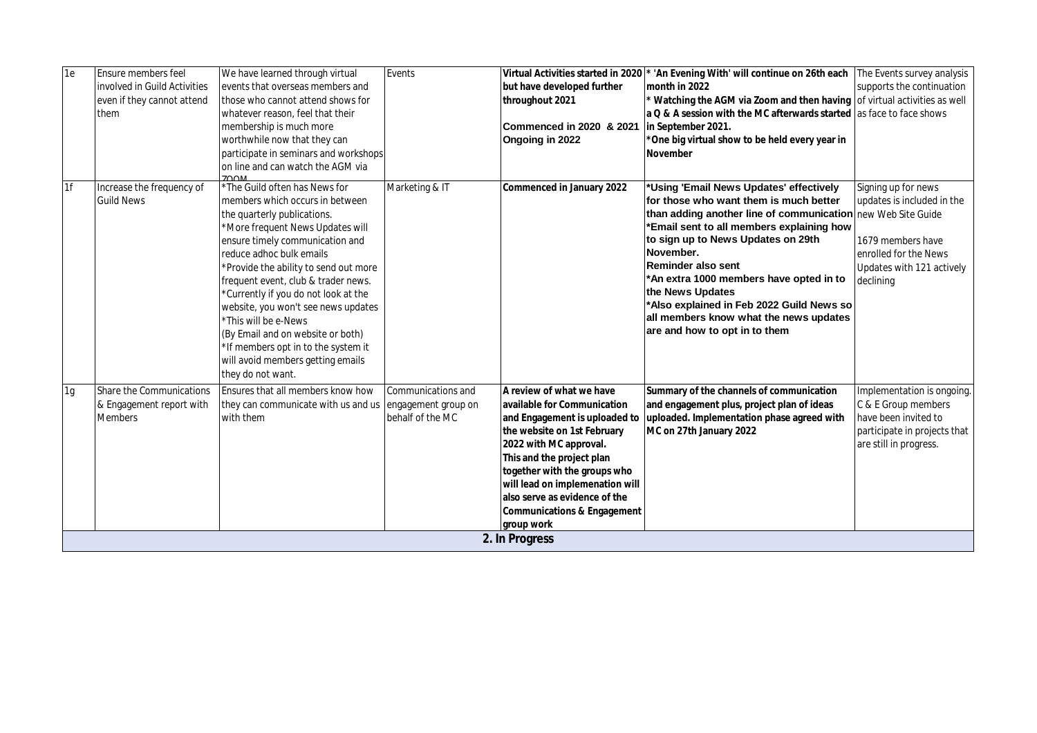| 1e | Ensure members feel             | We have learned through virtual          | Events              |                                        | Virtual Activities started in 2020 <sup>*</sup> 'An Evening With' will continue on 26th each   The Events survey analysis |                              |  |  |  |
|----|---------------------------------|------------------------------------------|---------------------|----------------------------------------|---------------------------------------------------------------------------------------------------------------------------|------------------------------|--|--|--|
|    | involved in Guild Activities    | events that overseas members and         |                     | but have developed further             | month in 2022                                                                                                             | supports the continuation    |  |  |  |
|    | even if they cannot attend      | those who cannot attend shows for        |                     | throughout 2021                        | Watching the AGM via Zoom and then having of virtual activities as well                                                   |                              |  |  |  |
|    | them                            | whatever reason, feel that their         |                     |                                        | a Q & A session with the MC afterwards started las face to face shows                                                     |                              |  |  |  |
|    |                                 | membership is much more                  |                     | Commenced in 2020 & 2021               | in September 2021.                                                                                                        |                              |  |  |  |
|    |                                 | worthwhile now that they can             |                     | Ongoing in 2022                        | *One big virtual show to be held every year in                                                                            |                              |  |  |  |
|    |                                 | participate in seminars and workshops    |                     |                                        | November                                                                                                                  |                              |  |  |  |
|    |                                 | on line and can watch the AGM via        |                     |                                        |                                                                                                                           |                              |  |  |  |
|    |                                 | 700M                                     |                     |                                        |                                                                                                                           |                              |  |  |  |
| 1f | Increase the frequency of       | *The Guild often has News for            | Marketing & IT      | Commenced in January 2022              | *Using 'Email News Updates' effectively                                                                                   | Signing up for news          |  |  |  |
|    | <b>Guild News</b>               | members which occurs in between          |                     |                                        | for those who want them is much better                                                                                    | updates is included in the   |  |  |  |
|    |                                 | the quarterly publications.              |                     |                                        | than adding another line of communication new Web Site Guide                                                              |                              |  |  |  |
|    |                                 | *More frequent News Updates will         |                     |                                        | *Email sent to all members explaining how                                                                                 |                              |  |  |  |
|    |                                 | ensure timely communication and          |                     |                                        | to sign up to News Updates on 29th                                                                                        | 1679 members have            |  |  |  |
|    |                                 | reduce adhoc bulk emails                 |                     |                                        | November.                                                                                                                 | enrolled for the News        |  |  |  |
|    |                                 | *Provide the ability to send out more    |                     |                                        | Reminder also sent                                                                                                        | Updates with 121 actively    |  |  |  |
|    |                                 | frequent event, club & trader news.      |                     |                                        | *An extra 1000 members have opted in to                                                                                   | declining                    |  |  |  |
|    |                                 | *Currently if you do not look at the     |                     |                                        | the News Updates                                                                                                          |                              |  |  |  |
|    |                                 | website, you won't see news updates      |                     |                                        | *Also explained in Feb 2022 Guild News so                                                                                 |                              |  |  |  |
|    |                                 | 'This will be e-News                     |                     |                                        | all members know what the news updates                                                                                    |                              |  |  |  |
|    |                                 | (By Email and on website or both)        |                     |                                        | are and how to opt in to them                                                                                             |                              |  |  |  |
|    |                                 | *If members opt in to the system it      |                     |                                        |                                                                                                                           |                              |  |  |  |
|    |                                 | will avoid members getting emails        |                     |                                        |                                                                                                                           |                              |  |  |  |
|    |                                 | they do not want.                        |                     |                                        |                                                                                                                           |                              |  |  |  |
| 1g | <b>Share the Communications</b> | <b>Ensures that all members know how</b> | Communications and  | A review of what we have               | Summary of the channels of communication                                                                                  | Implementation is ongoing.   |  |  |  |
|    | & Engagement report with        | they can communicate with us and us      | engagement group on | available for Communication            | and engagement plus, project plan of ideas                                                                                | C & E Group members          |  |  |  |
|    | <b>Members</b>                  | with them                                | behalf of the MC    | and Engagement is uploaded to          | uploaded. Implementation phase agreed with                                                                                | have been invited to         |  |  |  |
|    |                                 |                                          |                     | the website on 1st February            | MC on 27th January 2022                                                                                                   | participate in projects that |  |  |  |
|    |                                 |                                          |                     | 2022 with MC approval.                 |                                                                                                                           | are still in progress.       |  |  |  |
|    |                                 |                                          |                     | This and the project plan              |                                                                                                                           |                              |  |  |  |
|    |                                 |                                          |                     | together with the groups who           |                                                                                                                           |                              |  |  |  |
|    |                                 |                                          |                     | will lead on implemenation will        |                                                                                                                           |                              |  |  |  |
|    |                                 |                                          |                     | also serve as evidence of the          |                                                                                                                           |                              |  |  |  |
|    |                                 |                                          |                     | <b>Communications &amp; Engagement</b> |                                                                                                                           |                              |  |  |  |
|    |                                 |                                          |                     | group work                             |                                                                                                                           |                              |  |  |  |
|    | 2. In Progress                  |                                          |                     |                                        |                                                                                                                           |                              |  |  |  |
|    |                                 |                                          |                     |                                        |                                                                                                                           |                              |  |  |  |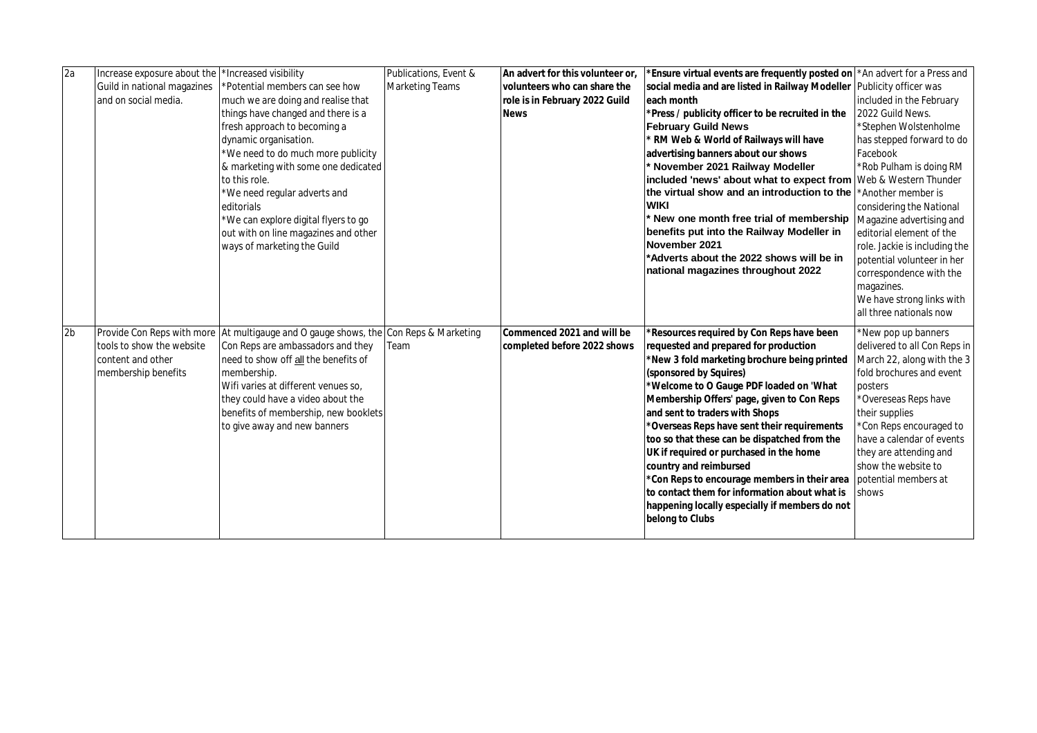| $\overline{2a}$ | Increase exposure about the | *Increased visibility                                           | Publications, Event &  | An advert for this volunteer or. | Ensure virtual events are frequently posted on   * An advert for a Press and |                               |
|-----------------|-----------------------------|-----------------------------------------------------------------|------------------------|----------------------------------|------------------------------------------------------------------------------|-------------------------------|
|                 | Guild in national magazines | *Potential members can see how                                  | <b>Marketing Teams</b> | volunteers who can share the     | social media and are listed in Railway Modeller                              | Publicity officer was         |
|                 | and on social media.        | much we are doing and realise that                              |                        | role is in February 2022 Guild   | each month                                                                   | included in the February      |
|                 |                             | things have changed and there is a                              |                        | <b>News</b>                      | *Press / publicity officer to be recruited in the                            | 2022 Guild News.              |
|                 |                             | fresh approach to becoming a                                    |                        |                                  | <b>February Guild News</b>                                                   | *Stephen Wolstenholme         |
|                 |                             | dynamic organisation.                                           |                        |                                  | RM Web & World of Railways will have                                         | has stepped forward to do     |
|                 |                             | *We need to do much more publicity                              |                        |                                  | advertising banners about our shows                                          | Facebook                      |
|                 |                             | & marketing with some one dedicated                             |                        |                                  | November 2021 Railway Modeller                                               | *Rob Pulham is doing RM       |
|                 |                             | to this role.                                                   |                        |                                  | included 'news' about what to expect from Web & Western Thunder              |                               |
|                 |                             | *We need regular adverts and                                    |                        |                                  | the virtual show and an introduction to the                                  | Another member is             |
|                 |                             | editorials                                                      |                        |                                  | <b>WIKI</b>                                                                  | considering the National      |
|                 |                             | *We can explore digital flyers to go                            |                        |                                  | New one month free trial of membership                                       | Magazine advertising and      |
|                 |                             | out with on line magazines and other                            |                        |                                  | benefits put into the Railway Modeller in                                    | editorial element of the      |
|                 |                             | ways of marketing the Guild                                     |                        |                                  | November 2021                                                                | role. Jackie is including the |
|                 |                             |                                                                 |                        |                                  | *Adverts about the 2022 shows will be in                                     | potential volunteer in her    |
|                 |                             |                                                                 |                        |                                  | national magazines throughout 2022                                           | correspondence with the       |
|                 |                             |                                                                 |                        |                                  |                                                                              | magazines.                    |
|                 |                             |                                                                 |                        |                                  |                                                                              | We have strong links with     |
|                 |                             |                                                                 |                        |                                  |                                                                              | all three nationals now       |
| 2 <sub>b</sub>  |                             | Provide Con Reps with more At multigauge and O gauge shows, the | Con Reps & Marketing   | Commenced 2021 and will be       | *Resources required by Con Reps have been                                    | *New pop up banners           |
|                 | tools to show the website   | Con Reps are ambassadors and they                               | Team                   | completed before 2022 shows      | requested and prepared for production                                        | delivered to all Con Reps in  |
|                 | content and other           | need to show off all the benefits of                            |                        |                                  | *New 3 fold marketing brochure being printed                                 | March 22, along with the 3    |
|                 | membership benefits         | membership.                                                     |                        |                                  | (sponsored by Squires)                                                       | fold brochures and event      |
|                 |                             | Wifi varies at different venues so,                             |                        |                                  | *Welcome to O Gauge PDF loaded on 'What                                      | posters                       |
|                 |                             | they could have a video about the                               |                        |                                  | Membership Offers' page, given to Con Reps                                   | *Overeseas Reps have          |
|                 |                             | benefits of membership, new booklets                            |                        |                                  | and sent to traders with Shops                                               | their supplies                |
|                 |                             | to give away and new banners                                    |                        |                                  | *Overseas Reps have sent their requirements                                  | *Con Reps encouraged to       |
|                 |                             |                                                                 |                        |                                  | too so that these can be dispatched from the                                 | have a calendar of events     |
|                 |                             |                                                                 |                        |                                  | UK if required or purchased in the home                                      | they are attending and        |
|                 |                             |                                                                 |                        |                                  | country and reimbursed                                                       | show the website to           |
|                 |                             |                                                                 |                        |                                  | *Con Reps to encourage members in their area                                 | potential members at          |
|                 |                             |                                                                 |                        |                                  | to contact them for information about what is                                | shows                         |
|                 |                             |                                                                 |                        |                                  | happening locally especially if members do not                               |                               |
|                 |                             |                                                                 |                        |                                  | belong to Clubs                                                              |                               |
|                 |                             |                                                                 |                        |                                  |                                                                              |                               |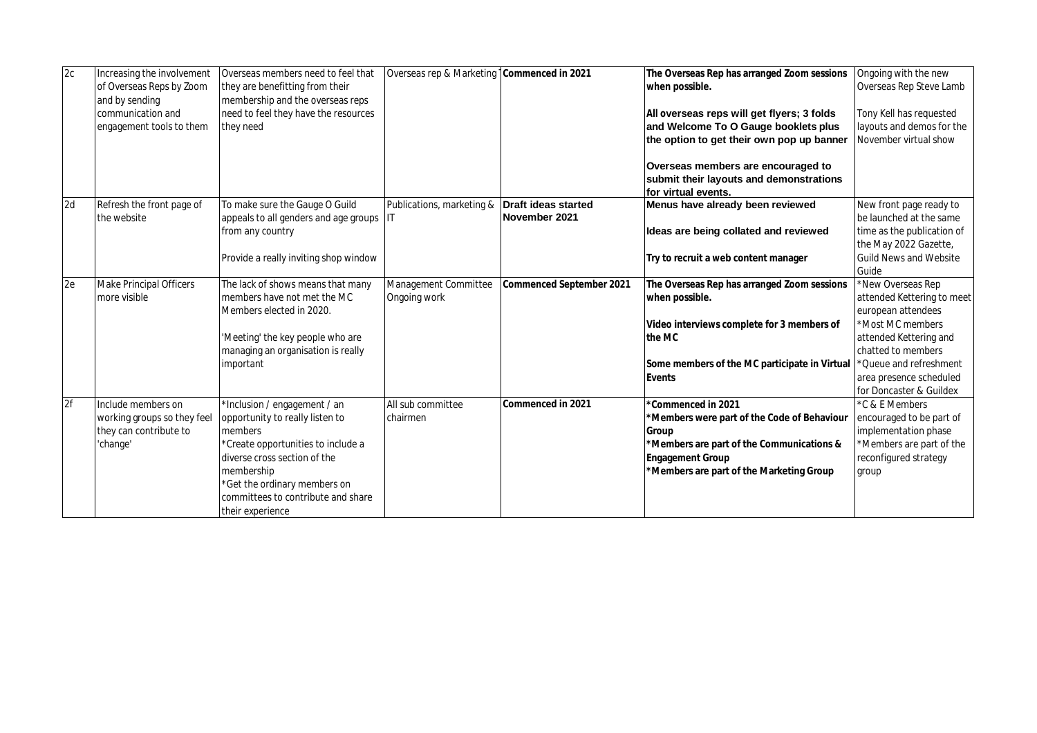| 2c | Increasing the involvement     | Overseas members need to feel that    | Overseas rep & Marketing   Commenced in 2021  |                          | The Overseas Rep has arranged Zoom sessions                           | Ongoing with the new          |
|----|--------------------------------|---------------------------------------|-----------------------------------------------|--------------------------|-----------------------------------------------------------------------|-------------------------------|
|    | of Overseas Reps by Zoom       | they are benefitting from their       |                                               |                          | when possible.                                                        | Overseas Rep Steve Lamb       |
|    | and by sending                 | membership and the overseas reps      |                                               |                          |                                                                       |                               |
|    | communication and              | need to feel they have the resources  |                                               |                          | All overseas reps will get flyers; 3 folds                            | Tony Kell has requested       |
|    | engagement tools to them       | they need                             |                                               |                          | and Welcome To O Gauge booklets plus                                  | layouts and demos for the     |
|    |                                |                                       |                                               |                          | the option to get their own pop up banner                             | November virtual show         |
|    |                                |                                       |                                               |                          |                                                                       |                               |
|    |                                |                                       |                                               |                          | Overseas members are encouraged to                                    |                               |
|    |                                |                                       |                                               |                          | submit their layouts and demonstrations                               |                               |
|    |                                |                                       |                                               |                          | for virtual events.                                                   |                               |
| 2d | Refresh the front page of      | To make sure the Gauge O Guild        | Publications, marketing & Draft ideas started |                          | Menus have already been reviewed                                      | New front page ready to       |
|    | the website                    | appeals to all genders and age groups | IIT                                           | November 2021            |                                                                       | be launched at the same       |
|    |                                | from any country                      |                                               |                          | Ideas are being collated and reviewed                                 | time as the publication of    |
|    |                                |                                       |                                               |                          |                                                                       | the May 2022 Gazette,         |
|    |                                | Provide a really inviting shop window |                                               |                          | Try to recruit a web content manager                                  | <b>Guild News and Website</b> |
|    |                                |                                       |                                               |                          |                                                                       | Guide                         |
| 2e | <b>Make Principal Officers</b> | The lack of shows means that many     | Management Committee                          | Commenced September 2021 | The Overseas Rep has arranged Zoom sessions                           | *New Overseas Rep             |
|    | more visible                   | members have not met the MC           | Ongoing work                                  |                          | when possible.                                                        | attended Kettering to meet    |
|    |                                | Members elected in 2020.              |                                               |                          |                                                                       | european attendees            |
|    |                                |                                       |                                               |                          | Video interviews complete for 3 members of                            | *Most MC members              |
|    |                                | 'Meeting' the key people who are      |                                               |                          | the MC                                                                | attended Kettering and        |
|    |                                | managing an organisation is really    |                                               |                          |                                                                       | chatted to members            |
|    |                                | important                             |                                               |                          | Some members of the MC participate in Virtual  *Queue and refreshment |                               |
|    |                                |                                       |                                               |                          | Events                                                                | area presence scheduled       |
|    |                                |                                       |                                               |                          |                                                                       | for Doncaster & Guildex       |
| 2f | Include members on             | *Inclusion / engagement / an          | All sub committee                             | Commenced in 2021        | *Commenced in 2021                                                    | *C & E Members                |
|    | working groups so they feel    | opportunity to really listen to       | chairmen                                      |                          | *Members were part of the Code of Behaviour                           | encouraged to be part of      |
|    | they can contribute to         | members                               |                                               |                          | Group                                                                 | implementation phase          |
|    | 'change'                       | *Create opportunities to include a    |                                               |                          | *Members are part of the Communications &                             | *Members are part of the      |
|    |                                | diverse cross section of the          |                                               |                          | <b>Engagement Group</b>                                               | reconfigured strategy         |
|    |                                | membership                            |                                               |                          | Members are part of the Marketing Group                               | group                         |
|    |                                | *Get the ordinary members on          |                                               |                          |                                                                       |                               |
|    |                                | committees to contribute and share    |                                               |                          |                                                                       |                               |
|    |                                | their experience                      |                                               |                          |                                                                       |                               |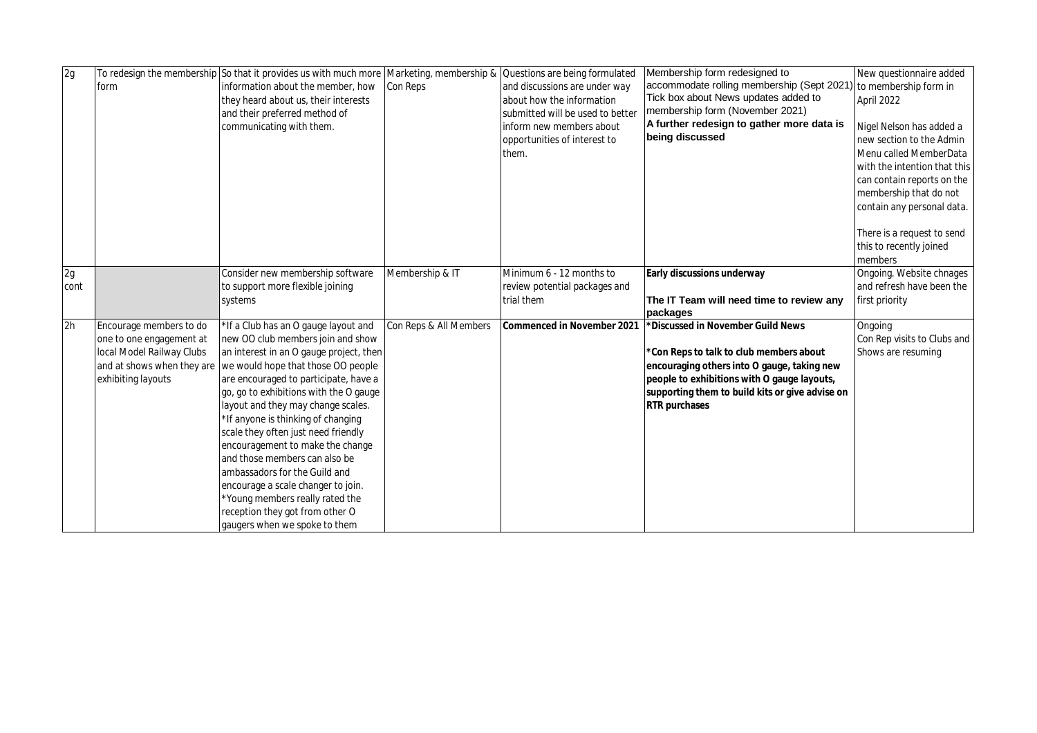| 2g   |                           | To redesign the membership So that it provides us with much more |                        | Marketing, membership & Questions are being formulated | Membership form redesigned to                                    | New questionnaire added      |
|------|---------------------------|------------------------------------------------------------------|------------------------|--------------------------------------------------------|------------------------------------------------------------------|------------------------------|
|      | form                      | information about the member, how                                | Con Reps               | and discussions are under way                          | accommodate rolling membership (Sept 2021) to membership form in |                              |
|      |                           | they heard about us, their interests                             |                        | about how the information                              | Tick box about News updates added to                             | April 2022                   |
|      |                           | and their preferred method of                                    |                        | submitted will be used to better                       | membership form (November 2021)                                  |                              |
|      |                           | communicating with them.                                         |                        | linform new members about                              | A further redesign to gather more data is                        | Nigel Nelson has added a     |
|      |                           |                                                                  |                        | opportunities of interest to                           | being discussed                                                  | new section to the Admin     |
|      |                           |                                                                  |                        | them.                                                  |                                                                  | Menu called MemberData       |
|      |                           |                                                                  |                        |                                                        |                                                                  | with the intention that this |
|      |                           |                                                                  |                        |                                                        |                                                                  | can contain reports on the   |
|      |                           |                                                                  |                        |                                                        |                                                                  | membership that do not       |
|      |                           |                                                                  |                        |                                                        |                                                                  | contain any personal data.   |
|      |                           |                                                                  |                        |                                                        |                                                                  |                              |
|      |                           |                                                                  |                        |                                                        |                                                                  | There is a request to send   |
|      |                           |                                                                  |                        |                                                        |                                                                  | this to recently joined      |
|      |                           |                                                                  |                        |                                                        |                                                                  | members                      |
| 2g   |                           | Consider new membership software                                 | Membership & IT        | Minimum 6 - 12 months to                               | Early discussions underway                                       | Ongoing. Website chnages     |
| cont |                           | to support more flexible joining                                 |                        | review potential packages and                          |                                                                  | and refresh have been the    |
|      |                           | systems                                                          |                        | trial them                                             | The IT Team will need time to review any                         | first priority               |
|      |                           |                                                                  |                        |                                                        | packages                                                         |                              |
| 2h   | Encourage members to do   | *If a Club has an O gauge layout and                             | Con Reps & All Members | Commenced in November 2021                             | *Discussed in November Guild News                                | Ongoing                      |
|      | one to one engagement at  | new OO club members join and show                                |                        |                                                        |                                                                  | Con Rep visits to Clubs and  |
|      | local Model Railway Clubs | an interest in an O gauge project, then                          |                        |                                                        | *Con Reps to talk to club members about                          | Shows are resuming           |
|      |                           | and at shows when they are we would hope that those OO people    |                        |                                                        | encouraging others into O gauge, taking new                      |                              |
|      | exhibiting layouts        | are encouraged to participate, have a                            |                        |                                                        | people to exhibitions with O gauge layouts,                      |                              |
|      |                           | go, go to exhibitions with the O gauge                           |                        |                                                        | supporting them to build kits or give advise on                  |                              |
|      |                           | layout and they may change scales.                               |                        |                                                        | <b>RTR</b> purchases                                             |                              |
|      |                           | *If anyone is thinking of changing                               |                        |                                                        |                                                                  |                              |
|      |                           | scale they often just need friendly                              |                        |                                                        |                                                                  |                              |
|      |                           | encouragement to make the change                                 |                        |                                                        |                                                                  |                              |
|      |                           | and those members can also be                                    |                        |                                                        |                                                                  |                              |
|      |                           | ambassadors for the Guild and                                    |                        |                                                        |                                                                  |                              |
|      |                           | encourage a scale changer to join.                               |                        |                                                        |                                                                  |                              |
|      |                           | Young members really rated the                                   |                        |                                                        |                                                                  |                              |
|      |                           | reception they got from other O                                  |                        |                                                        |                                                                  |                              |
|      |                           | gaugers when we spoke to them                                    |                        |                                                        |                                                                  |                              |